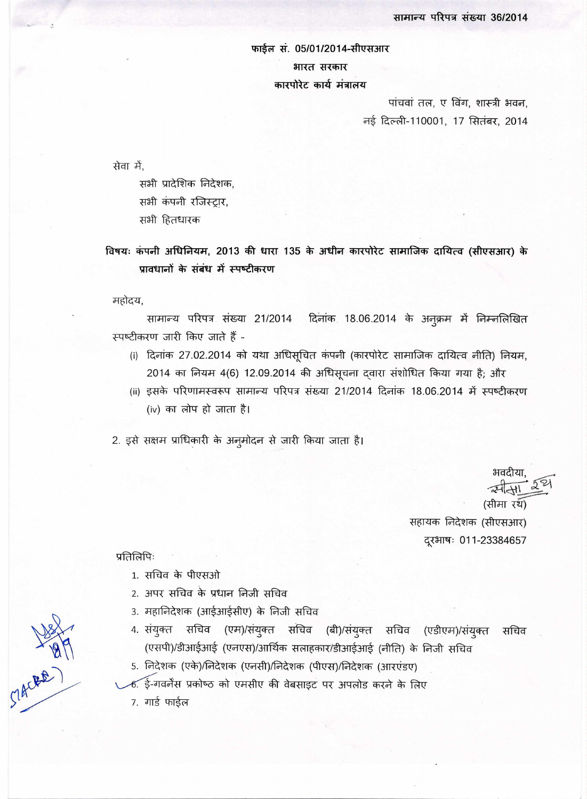## फाईल सं. 05/01/2014-सीएसआर भारत सरकार कारपोरेट कार्य मंत्रालय

पांचवां तल, ए विंग, शास्त्री भवन, नई दिल्ली-110001, 17 सितंबर, 2014

सेवा में,

सभी प्रादेशिक निदेशक, सभी कंपनी रजिस्ट्रार, सभी हितधारक

विषयः कंपनी अधिनियम, 2013 की धारा 135 के अधीन कारपोरेट सामाजिक दायित्व (सीएसआर) के प्रावधानों के संबंध में स्पष्टीकरण

महोदय,

सामान्य परिपत्र संख्या 21/2014 दिनांक 18.06.2014 के अनूक्रम में निम्नलिखित स्पष्टीकरण जारी किए जाते हैं -

- (i) दिनांक 27.02.2014 को यथा अधिसूचित कंपनी (कारपोरेट सामाजिक दायित्व नीति) नियम, 2014 का नियम 4(6) 12.09.2014 की अधिसूचना दवारा संशोधित किया गया है; और
- (ii) इसके परिणामस्वरूप सामान्य परिपत्र संख्या 21/2014 दिनांक 18.06.2014 में स्पष्टीकरण (iv) का लोप हो जाता है।

2. इसे सक्षम प्राधिकारी के अनुमोदन से जारी किया जाता है।

(सीमा रथ) सहायक निदेशक (सीएसआर) दूरभाषः 011-23384657

प्रतिलिपिः

Clacker)

- 1. सचिव के पीएसओ
- 2. अपर सचिव के प्रधान निजी सचिव
- 3. महानिदेशक (आईआईसीए) के निजी सचिव
- 4. संयुक्त सचिव (एम)/संयुक्त सचिव (बी)/संयुक्त सचिव (एडीएम)/संयुक्त सचिव (एसपी)/डीआईआई (एनएस)/आर्थिक सलाहकार/डीआईआई (नीति) के निजी सचिव
- 5. निदेशक (एके)/निदेशक (एनसी)/निदेशक (पीएस)/निदेशक (आरएंडए)
- 6. ई-गवर्नेस प्रकोष्ठ को एमसीए की वेबसाइट पर अपलोड करने के लिए

7. गार्ड फाईल